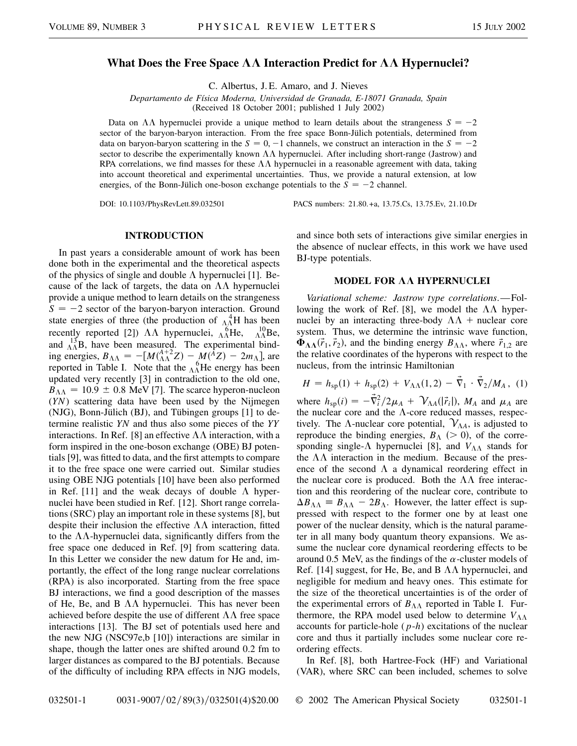## **What Does the Free Space**  $\Lambda\Lambda$  **Interaction Predict for**  $\Lambda\Lambda$  **Hypernuclei?**

C. Albertus, J. E. Amaro, and J. Nieves

*Departamento de Física Moderna, Universidad de Granada, E-18071 Granada, Spain*

(Received 18 October 2001; published 1 July 2002)

Data on  $\Lambda\Lambda$  hypernuclei provide a unique method to learn details about the strangeness  $S = -2$ sector of the baryon-baryon interaction. From the free space Bonn-Jülich potentials, determined from data on baryon-baryon scattering in the  $S = 0, -1$  channels, we construct an interaction in the  $S = -2$ sector to describe the experimentally known  $\Lambda\Lambda$  hypernuclei. After including short-range (Jastrow) and RPA correlations, we find masses for these  $\Lambda\Lambda$  hypernuclei in a reasonable agreement with data, taking into account theoretical and experimental uncertainties. Thus, we provide a natural extension, at low energies, of the Bonn-Jülich one-boson exchange potentials to the  $S = -2$  channel.

DOI: 10.1103/PhysRevLett.89.032501 PACS numbers: 21.80.+a, 13.75.Cs, 13.75.Ev, 21.10.Dr

## **INTRODUCTION**

In past years a considerable amount of work has been done both in the experimental and the theoretical aspects of the physics of single and double  $\Lambda$  hypernuclei [1]. Because of the lack of targets, the data on  $\Lambda\Lambda$  hypernuclei provide a unique method to learn details on the strangeness  $S = -2$  sector of the baryon-baryon interaction. Ground state energies of three (the production of  $^{4}_{\Lambda\Lambda}$ H has been recently reported [2])  $\Lambda\Lambda$  hypernuclei,  ${}_{\Lambda\Lambda}^{6}$ He,  ${}_{\Lambda\Lambda}^{10}$ Be, and  $^{13}_{\Lambda\Lambda}$ B, have been measured. The experimental binding energies,  $B_{\Lambda\Lambda} = -[M(^{A+2}_{\Lambda\Lambda}Z) - M(^{\tilde{A}}Z) - 2m_{\Lambda}],$  are reported in Table I. Note that the  $\Lambda_{\Lambda}^{6}$ He energy has been updated very recently [3] in contradiction to the old one,  $B_{\Lambda\Lambda} = 10.9 \pm 0.8$  MeV [7]. The scarce hyperon-nucleon (*YN*) scattering data have been used by the Nijmegen (NJG), Bonn-Jülich (BJ), and Tübingen groups [1] to determine realistic *YN* and thus also some pieces of the *YY* interactions. In Ref. [8] an effective  $\Lambda\Lambda$  interaction, with a form inspired in the one-boson exchange (OBE) BJ potentials [9], was fitted to data, and the first attempts to compare it to the free space one were carried out. Similar studies using OBE NJG potentials [10] have been also performed in Ref. [11] and the weak decays of double  $\Lambda$  hypernuclei have been studied in Ref. [12]. Short range correlations (SRC) play an important role in these systems [8], but despite their inclusion the effective  $\Lambda\Lambda$  interaction, fitted to the  $\Lambda\Lambda$ -hypernuclei data, significantly differs from the free space one deduced in Ref. [9] from scattering data. In this Letter we consider the new datum for He and, importantly, the effect of the long range nuclear correlations (RPA) is also incorporated. Starting from the free space BJ interactions, we find a good description of the masses of He, Be, and B  $\Lambda\Lambda$  hypernuclei. This has never been achieved before despite the use of different  $\Lambda\Lambda$  free space interactions [13]. The BJ set of potentials used here and the new NJG (NSC97e,b [10]) interactions are similar in shape, though the latter ones are shifted around 0.2 fm to larger distances as compared to the BJ potentials. Because of the difficulty of including RPA effects in NJG models, and since both sets of interactions give similar energies in the absence of nuclear effects, in this work we have used BJ-type potentials.

## **MODEL FOR AA HYPERNUCLEI**

*Variational scheme: Jastrow type correlations*.—Following the work of Ref. [8], we model the  $\Lambda\Lambda$  hypernuclei by an interacting three-body  $\Lambda\Lambda$  + nuclear core system. Thus, we determine the intrinsic wave function,  $\Phi_{\Lambda\Lambda}(\vec{r}_1, \vec{r}_2)$ , and the binding energy  $B_{\Lambda\Lambda}$ , where  $\vec{r}_{1,2}$  are the relative coordinates of the hyperons with respect to the nucleus, from the intrinsic Hamiltonian

$$
H = h_{\rm sp}(1) + h_{\rm sp}(2) + V_{\Lambda\Lambda}(1,2) - \vec{\nabla}_1 \cdot \vec{\nabla}_2 / M_A, \quad (1)
$$

where  $h_{\rm sp}(i) = -\vec{\nabla}_i^2/2\mu_A + \mathcal{V}_{\Lambda A}(|\vec{r}_i|), M_A$  and  $\mu_A$  are the nuclear core and the  $\Lambda$ -core reduced masses, respectively. The  $\Lambda$ -nuclear core potential,  $V_{\Lambda A}$ , is adjusted to reproduce the binding energies,  $B_{\Lambda}$  ( $> 0$ ), of the corresponding single- $\Lambda$  hypernuclei [8], and  $V_{\Lambda\Lambda}$  stands for the  $\Lambda\Lambda$  interaction in the medium. Because of the presence of the second  $\Lambda$  a dynamical reordering effect in the nuclear core is produced. Both the  $\Lambda\Lambda$  free interaction and this reordering of the nuclear core, contribute to  $\Delta B_{\Lambda\Lambda} = B_{\Lambda\Lambda} - 2B_{\Lambda}$ . However, the latter effect is suppressed with respect to the former one by at least one power of the nuclear density, which is the natural parameter in all many body quantum theory expansions. We assume the nuclear core dynamical reordering effects to be around 0.5 MeV, as the findings of the  $\alpha$ -cluster models of Ref. [14] suggest, for He, Be, and B  $\Lambda\Lambda$  hypernuclei, and negligible for medium and heavy ones. This estimate for the size of the theoretical uncertainties is of the order of the experimental errors of  $B_{\Lambda\Lambda}$  reported in Table I. Furthermore, the RPA model used below to determine  $V_{\Lambda\Lambda}$ accounts for particle-hole (*p*-*h*) excitations of the nuclear core and thus it partially includes some nuclear core reordering effects.

In Ref. [8], both Hartree-Fock (HF) and Variational (VAR), where SRC can been included, schemes to solve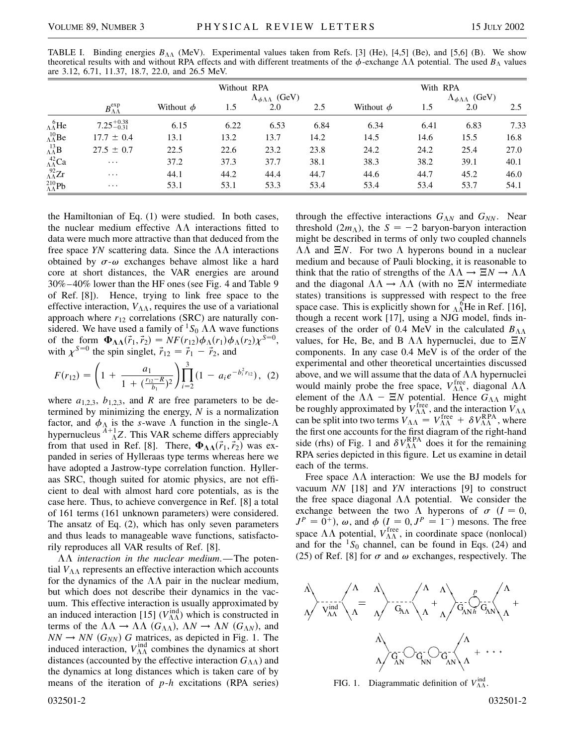| are $3.12$ , 0.71, 11.37, 10.7, 22.0, and 20.3 MeV. |                                |                |          |                                             |      |                |      |                                             |      |  |  |  |
|-----------------------------------------------------|--------------------------------|----------------|----------|---------------------------------------------|------|----------------|------|---------------------------------------------|------|--|--|--|
|                                                     |                                |                | With RPA |                                             |      |                |      |                                             |      |  |  |  |
|                                                     | $B_{\Lambda\Lambda}^{\rm exp}$ | Without $\phi$ | 1.5      | $\Lambda_{\phi\Lambda\Lambda}$ (GeV)<br>2.0 | 2.5  | Without $\phi$ | 1.5  | $\Lambda_{\phi\Lambda\Lambda}$ (GeV)<br>2.0 | 2.5  |  |  |  |
| $\Lambda_{\Lambda}^{6}$ He                          | $7.25_{-0.31}^{+0.38}$         | 6.15           | 6.22     | 6.53                                        | 6.84 | 6.34           | 6.41 | 6.83                                        | 7.33 |  |  |  |
| $^{10}_{\Lambda\Lambda}$ Be                         | $17.7 \pm 0.4$                 | 13.1           | 13.2     | 13.7                                        | 14.2 | 14.5           | 14.6 | 15.5                                        | 16.8 |  |  |  |
| $\Lambda^{13}_{\Lambda\Lambda}$ B                   | $27.5 \pm 0.7$                 | 22.5           | 22.6     | 23.2                                        | 23.8 | 24.2           | 24.2 | 25.4                                        | 27.0 |  |  |  |
| $^{42}_{\Lambda\Lambda}$ Ca                         | $\cdots$                       | 37.2           | 37.3     | 37.7                                        | 38.1 | 38.3           | 38.2 | 39.1                                        | 40.1 |  |  |  |
| $^{92}_{\Lambda\Lambda}Zr$                          | $\cdots$                       | 44.1           | 44.2     | 44.4                                        | 44.7 | 44.6           | 44.7 | 45.2                                        | 46.0 |  |  |  |
| $^{210}_{\Lambda\Lambda}{\rm Pb}$                   | $\cdots$                       | 53.1           | 53.1     | 53.3                                        | 53.4 | 53.4           | 53.4 | 53.7                                        | 54.1 |  |  |  |

TABLE I. Binding energies  $B_{\Lambda\Lambda}$  (MeV). Experimental values taken from Refs. [3] (He), [4,5] (Be), and [5,6] (B). We show theoretical results with and without RPA effects and with different treatments of the  $\phi$ -exchange  $\Lambda\Lambda$  potential. The used  $B_\Lambda$  values  $a^2$ , 3.12, 6.71, 11.37, 18.7, 22.0, and 26.5 MeV.

the Hamiltonian of Eq. (1) were studied. In both cases, the nuclear medium effective  $\Lambda\Lambda$  interactions fitted to data were much more attractive than that deduced from the free space *YN* scattering data. Since the  $\Lambda\Lambda$  interactions obtained by  $\sigma$ - $\omega$  exchanges behave almost like a hard core at short distances, the VAR energies are around 30%–40% lower than the HF ones (see Fig. 4 and Table 9 of Ref. [8]). Hence, trying to link free space to the effective interaction,  $V_{\Lambda\Lambda}$ , requires the use of a variational approach where  $r_{12}$  correlations (SRC) are naturally considered. We have used a family of <sup>1</sup>S<sub>0</sub>  $\Lambda\Lambda$  wave functions of the form  $\Phi_{\Lambda\Lambda}(\vec{r}_1, \vec{r}_2) = NF(r_{12})\phi_{\Lambda}(r_1)\phi_{\Lambda}(r_2)\chi^{S=0},$ with  $\chi^{S=0}$  the spin singlet,  $\vec{r}_{12} = \vec{r}_1 - \vec{r}_2$ , and

$$
F(r_{12}) = \left(1 + \frac{a_1}{1 + \left(\frac{r_{12} - R}{b_1}\right)^2}\right) \prod_{i=2}^3 \left(1 - a_i e^{-b_i^2 r_{12}}\right), (2)
$$

where  $a_{1,2,3}$ ,  $b_{1,2,3}$ , and *R* are free parameters to be determined by minimizing the energy, *N* is a normalization factor, and  $\phi_{\Lambda}$  is the *s*-wave  $\Lambda$  function in the single- $\Lambda$ hypernucleus  $^{A+1}_{\Lambda}Z$ . This VAR scheme differs appreciably from that used in Ref. [8]. There,  $\Phi_{\Lambda\Lambda}(\vec{r}_1, \vec{r}_2)$  was expanded in series of Hylleraas type terms whereas here we have adopted a Jastrow-type correlation function. Hylleraas SRC, though suited for atomic physics, are not efficient to deal with almost hard core potentials, as is the case here. Thus, to achieve convergence in Ref. [8] a total of 161 terms (161 unknown parameters) were considered. The ansatz of Eq. (2), which has only seven parameters and thus leads to manageable wave functions, satisfactorily reproduces all VAR results of Ref. [8].

 $\Lambda\Lambda$  *interaction in the nuclear medium*.—The potential  $V_{\Lambda\Lambda}$  represents an effective interaction which accounts for the dynamics of the  $\Lambda\Lambda$  pair in the nuclear medium, but which does not describe their dynamics in the vacuum. This effective interaction is usually approximated by an induced interaction [15]  $(V_{\Lambda\Lambda}^{\text{ind}})$  which is constructed in terms of the  $\Lambda\Lambda \to \Lambda\Lambda$  ( $G_{\Lambda\Lambda}$ ),  $\Lambda N \to \Lambda N$  ( $G_{\Lambda N}$ ), and  $NN \rightarrow NN$  ( $G_{NN}$ ) *G* matrices, as depicted in Fig. 1. The induced interaction,  $V_{\Lambda\Lambda}^{\text{ind}}$  combines the dynamics at short distances (accounted by the effective interaction  $G_{\Lambda\Lambda}$ ) and the dynamics at long distances which is taken care of by means of the iteration of *p*-*h* excitations (RPA series)

032501-2 032501-2

through the effective interactions  $G_{\Lambda N}$  and  $G_{NN}$ . Near threshold  $(2m<sub>\Lambda</sub>)$ , the  $S = -2$  baryon-baryon interaction might be described in terms of only two coupled channels  $\Lambda\Lambda$  and  $\Xi N$ . For two  $\Lambda$  hyperons bound in a nuclear medium and because of Pauli blocking, it is reasonable to think that the ratio of strengths of the  $\Lambda\Lambda \to \Xi N \to \Lambda\Lambda$ and the diagonal  $\Lambda\Lambda \rightarrow \Lambda\Lambda$  (with no  $\Xi N$  intermediate states) transitions is suppressed with respect to the free space case. This is explicitly shown for  $\Lambda_{\Lambda}^{6}$ He in Ref. [16], though a recent work [17], using a NJG model, finds increases of the order of 0.4 MeV in the calculated  $B_{\Lambda\Lambda}$ values, for He, Be, and B  $\Lambda\Lambda$  hypernuclei, due to  $\Xi N$ components. In any case 0.4 MeV is of the order of the experimental and other theoretical uncertainties discussed above, and we will assume that the data of  $\Lambda\Lambda$  hypernuclei would mainly probe the free space,  $V_{\Lambda\Lambda}^{\text{free}}$ , diagonal  $\Lambda\Lambda$ element of the  $\Lambda\Lambda$  –  $\Xi N$  potential. Hence  $G_{\Lambda\Lambda}$  might be roughly approximated by  $V_{\Lambda\Lambda}^{\text{free}}$ , and the interaction  $V_{\Lambda\Lambda}$ can be split into two terms  $V_{\Lambda\Lambda} = V_{\Lambda\Lambda}^{\text{free}} + \delta V_{\Lambda\Lambda}^{\text{RPA}}$ , where the first one accounts for the first diagram of the right-hand side (rhs) of Fig. 1 and  $\delta V_{\Lambda\Lambda}^{\rm RPA}$  does it for the remaining RPA series depicted in this figure. Let us examine in detail each of the terms.

Free space  $\Lambda\Lambda$  interaction: We use the BJ models for vacuum *NN* [18] and *YN* interactions [9] to construct the free space diagonal  $\Lambda\Lambda$  potential. We consider the exchange between the two  $\Lambda$  hyperons of  $\sigma$  ( $I = 0$ ,  $J<sup>P</sup> = 0<sup>+</sup>$ ,  $\omega$ , and  $\phi$  ( $I = 0, J<sup>P</sup> = 1<sup>-</sup>$ ) mesons. The free space  $\Lambda\Lambda$  potential,  $V_{\Lambda\Lambda}^{\text{free}}$ , in coordinate space (nonlocal) and for the  ${}^{1}S_0$  channel, can be found in Eqs. (24) and (25) of Ref. [8] for  $\sigma$  and  $\omega$  exchanges, respectively. The



FIG. 1. Diagrammatic definition of  $V_{\Lambda\Lambda}^{ind}$ .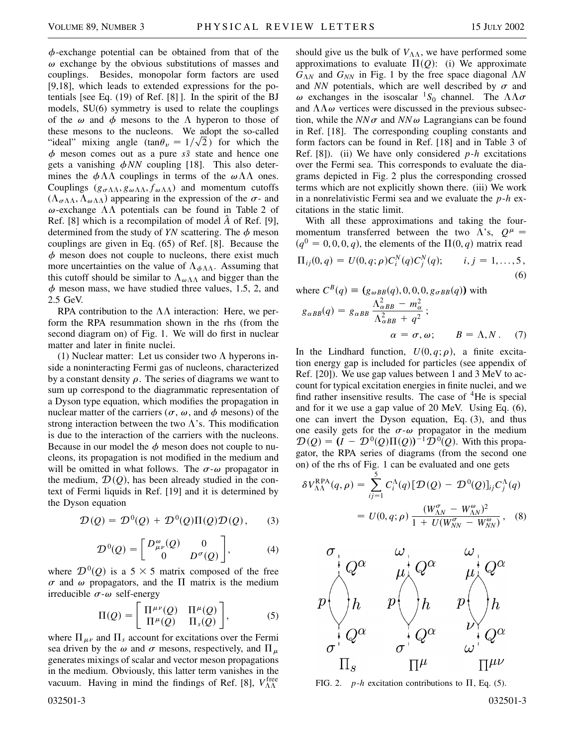$\phi$ -exchange potential can be obtained from that of the  $\omega$  exchange by the obvious substitutions of masses and couplings. Besides, monopolar form factors are used [9,18], which leads to extended expressions for the potentials [see Eq. (19) of Ref. [8] ]. In the spirit of the BJ models, SU(6) symmetry is used to relate the couplings of the  $\omega$  and  $\phi$  mesons to the  $\Lambda$  hyperon to those of these mesons to the nucleons. We adopt the so-called "ideal" mixing angle  $(\tan \theta_v = 1/\sqrt{2})$  for which the  $\phi$  meson comes out as a pure  $s\bar{s}$  state and hence one gets a vanishing  $\phi NN$  coupling [18]. This also determines the  $\phi \Lambda \Lambda$  couplings in terms of the  $\omega \Lambda \Lambda$  ones. Couplings  $(g_{\sigma\Lambda\Lambda}, g_{\omega\Lambda\Lambda}, f_{\omega\Lambda\Lambda})$  and momentum cutoffs  $(\Lambda_{\sigma\Lambda\Lambda}, \Lambda_{\omega\Lambda\Lambda})$  appearing in the expression of the  $\sigma$ - and  $\omega$ -exchange  $\Lambda\Lambda$  potentials can be found in Table 2 of Ref. [8] which is a recompilation of model *A*ˆ of Ref. [9], determined from the study of  $YN$  scattering. The  $\phi$  meson couplings are given in Eq. (65) of Ref. [8]. Because the  $\phi$  meson does not couple to nucleons, there exist much more uncertainties on the value of  $\Lambda_{\phi\Lambda\Lambda}$ . Assuming that this cutoff should be similar to  $\Lambda_{\omega}$  and bigger than the  $\phi$  meson mass, we have studied three values, 1.5, 2, and 2.5 GeV.

RPA contribution to the  $\Lambda\Lambda$  interaction: Here, we perform the RPA resummation shown in the rhs (from the second diagram on) of Fig. 1. We will do first in nuclear matter and later in finite nuclei.

(1) Nuclear matter: Let us consider two  $\Lambda$  hyperons inside a noninteracting Fermi gas of nucleons, characterized by a constant density  $\rho$ . The series of diagrams we want to sum up correspond to the diagrammatic representation of a Dyson type equation, which modifies the propagation in nuclear matter of the carriers ( $\sigma$ ,  $\omega$ , and  $\phi$  mesons) of the strong interaction between the two  $\Lambda$ 's. This modification is due to the interaction of the carriers with the nucleons. Because in our model the  $\phi$  meson does not couple to nucleons, its propagation is not modified in the medium and will be omitted in what follows. The  $\sigma$ - $\omega$  propagator in the medium,  $\mathcal{D}(Q)$ , has been already studied in the context of Fermi liquids in Ref. [19] and it is determined by the Dyson equation

$$
\mathcal{D}(Q) = \mathcal{D}^0(Q) + \mathcal{D}^0(Q)\Pi(Q)\mathcal{D}(Q), \qquad (3)
$$

$$
\mathcal{D}^0(Q) = \begin{bmatrix} D^{\omega}_{\mu\nu}(Q) & 0 \\ 0 & D^{\sigma}(Q) \end{bmatrix}, \tag{4}
$$

where  $\mathcal{D}^0(\mathcal{Q})$  is a 5  $\times$  5 matrix composed of the free  $\sigma$  and  $\omega$  propagators, and the  $\Pi$  matrix is the medium irreducible  $\sigma$ - $\omega$  self-energy

$$
\Pi(Q) = \begin{bmatrix} \Pi^{\mu\nu}(Q) & \Pi^{\mu}(Q) \\ \Pi^{\mu}(Q) & \Pi_{s}(Q) \end{bmatrix},
$$
 (5)

where  $\Pi_{\mu\nu}$  and  $\Pi_s$  account for excitations over the Fermi sea driven by the  $\omega$  and  $\sigma$  mesons, respectively, and  $\Pi_{\mu}$ generates mixings of scalar and vector meson propagations in the medium. Obviously, this latter term vanishes in the vacuum. Having in mind the findings of Ref. [8],  $V_{\Lambda\Lambda}^{\text{free}}$ 

should give us the bulk of  $V_{\Lambda\Lambda}$ , we have performed some approximations to evaluate  $\Pi(Q)$ : (i) We approximate  $G_{\Lambda N}$  and  $G_{NN}$  in Fig. 1 by the free space diagonal  $\Lambda N$ and *NN* potentials, which are well described by  $\sigma$  and  $\omega$  exchanges in the isoscalar <sup>1</sup>S<sub>0</sub> channel. The  $\Lambda\Lambda\sigma$ and  $\Lambda\Lambda\omega$  vertices were discussed in the previous subsection, while the  $NN\sigma$  and  $NN\omega$  Lagrangians can be found in Ref. [18]. The corresponding coupling constants and form factors can be found in Ref. [18] and in Table 3 of Ref. [8]). (ii) We have only considered *p*-*h* excitations over the Fermi sea. This corresponds to evaluate the diagrams depicted in Fig. 2 plus the corresponding crossed terms which are not explicitly shown there. (iii) We work in a nonrelativistic Fermi sea and we evaluate the *p*-*h* excitations in the static limit.

With all these approximations and taking the fourmomentum transferred between the two  $\Lambda$ 's,  $Q^{\mu}$  =  $(q^0 = 0, 0, 0, q)$ , the elements of the  $\Pi(0, q)$  matrix read

$$
\Pi_{ij}(0,q) = U(0,q;\rho)C_i^N(q)C_j^N(q); \qquad i,j = 1,\ldots,5,
$$
\n(6)

where  $C^B(q) \equiv (g_{\omega BB}(q), 0, 0, 0, g_{\sigma BB}(q))$  with

$$
g_{\alpha BB}(q) = g_{\alpha BB} \frac{\Lambda_{\alpha BB}^2 - m_{\alpha}^2}{\Lambda_{\alpha BB}^2 + q^2};
$$
  
\n
$$
\alpha = \sigma, \omega; \qquad B = \Lambda, N. \quad (7)
$$

In the Lindhard function,  $U(0, q; \rho)$ , a finite excitation energy gap is included for particles (see appendix of Ref. [20]). We use gap values between 1 and 3 MeV to account for typical excitation energies in finite nuclei, and we find rather insensitive results. The case of  ${}^{4}$ He is special and for it we use a gap value of 20 MeV. Using Eq. (6), one can invert the Dyson equation, Eq. (3), and thus one easily gets for the  $\sigma$ - $\omega$  propagator in the medium  $\mathcal{D}(Q) = (I - \mathcal{D}^0(Q)\Pi(Q))^{-1}\mathcal{D}^0(Q)$ . With this propagator, the RPA series of diagrams (from the second one on) of the rhs of Fig. 1 can be evaluated and one gets

$$
\delta V_{\Lambda\Lambda}^{\text{RPA}}(q,\rho) = \sum_{ij=1}^{5} C_i^{\Lambda}(q) [\mathcal{D}(Q) - \mathcal{D}^0(Q)]_{ij} C_j^{\Lambda}(q)
$$

$$
= U(0,q;\rho) \frac{(W_{\Lambda N}^{\sigma} - W_{\Lambda N}^{\omega})^2}{1 + U(W_{\Lambda N}^{\sigma} - W_{\Lambda N}^{\omega})}, \quad (8)
$$



FIG. 2. *p*-*h* excitation contributions to  $\Pi$ , Eq. (5).